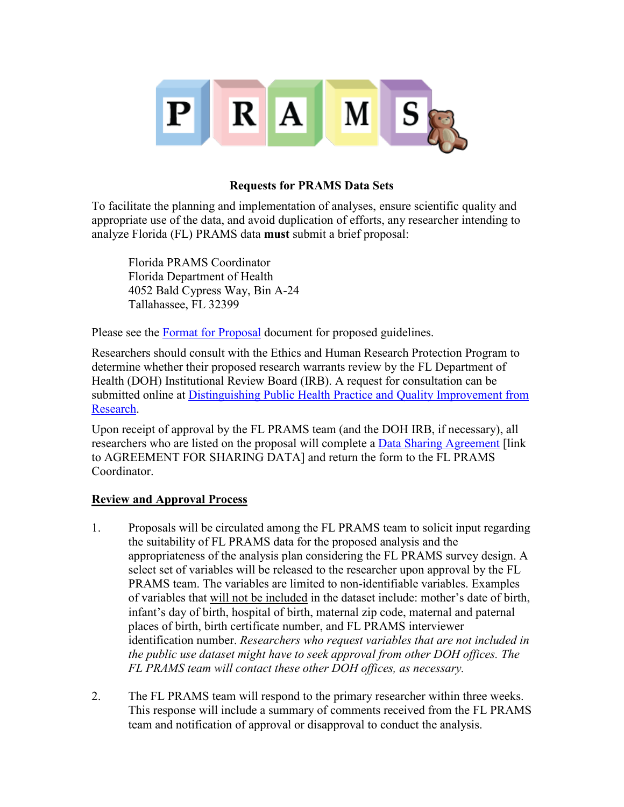

## **Requests for PRAMS Data Sets**

To facilitate the planning and implementation of analyses, ensure scientific quality and appropriate use of the data, and avoid duplication of efforts, any researcher intending to analyze Florida (FL) PRAMS data **must** submit a brief proposal:

Florida PRAMS Coordinator Florida Department of Health 4052 Bald Cypress Way, Bin A-24 Tallahassee, FL 32399

Please see the [Format for Proposal](http://www.floridahealth.gov/statistics-and-data/survey-data/pregnancy-risk-assessment-monitoring-system/_documents/proposal-format.pdf) document for proposed guidelines.

Researchers should consult with the Ethics and Human Research Protection Program to determine whether their proposed research warrants review by the FL Department of Health (DOH) Institutional Review Board (IRB). A request for consultation can be submitted online at [Distinguishing Public Health Practice and Quality Improvement from](http://flpublichealthethics.net/index.php/eng/ethics_and_public_health_practitioners/request_consultation_distinguishing_public_health_practice_and_quality_improvement_from_research)  [Research.](http://flpublichealthethics.net/index.php/eng/ethics_and_public_health_practitioners/request_consultation_distinguishing_public_health_practice_and_quality_improvement_from_research)

Upon receipt of approval by the FL PRAMS team (and the DOH IRB, if necessary), all researchers who are listed on the proposal will complete a [Data Sharing Agreement](http://www.floridachronicdisease.org/PRAMS/PRAMS_AppendixA.pdf) [link] to AGREEMENT FOR SHARING DATA] and return the form to the FL PRAMS Coordinator.

## **Review and Approval Process**

- 1. Proposals will be circulated among the FL PRAMS team to solicit input regarding the suitability of FL PRAMS data for the proposed analysis and the appropriateness of the analysis plan considering the FL PRAMS survey design. A select set of variables will be released to the researcher upon approval by the FL PRAMS team. The variables are limited to non-identifiable variables. Examples of variables that will not be included in the dataset include: mother's date of birth, infant's day of birth, hospital of birth, maternal zip code, maternal and paternal places of birth, birth certificate number, and FL PRAMS interviewer identification number. *Researchers who request variables that are not included in the public use dataset might have to seek approval from other DOH offices. The FL PRAMS team will contact these other DOH offices, as necessary.*
- 2. The FL PRAMS team will respond to the primary researcher within three weeks. This response will include a summary of comments received from the FL PRAMS team and notification of approval or disapproval to conduct the analysis.